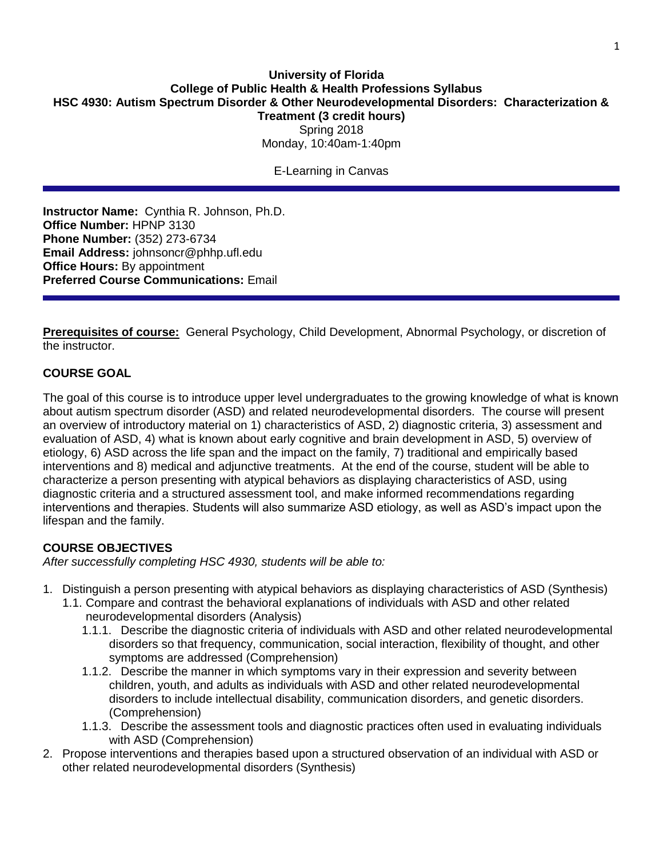## **University of Florida College of Public Health & Health Professions Syllabus HSC 4930: Autism Spectrum Disorder & Other Neurodevelopmental Disorders: Characterization & Treatment (3 credit hours)** Spring 2018 Monday, 10:40am-1:40pm

E-Learning in Canvas

**Instructor Name:** Cynthia R. Johnson, Ph.D. **Office Number:** HPNP 3130 **Phone Number:** (352) 273-6734 **Email Address:** johnsoncr@phhp.ufl.edu **Office Hours:** By appointment **Preferred Course Communications:** Email

**Prerequisites of course:** General Psychology, Child Development, Abnormal Psychology, or discretion of the instructor.

## **COURSE GOAL**

The goal of this course is to introduce upper level undergraduates to the growing knowledge of what is known about autism spectrum disorder (ASD) and related neurodevelopmental disorders. The course will present an overview of introductory material on 1) characteristics of ASD, 2) diagnostic criteria, 3) assessment and evaluation of ASD, 4) what is known about early cognitive and brain development in ASD, 5) overview of etiology, 6) ASD across the life span and the impact on the family, 7) traditional and empirically based interventions and 8) medical and adjunctive treatments. At the end of the course, student will be able to characterize a person presenting with atypical behaviors as displaying characteristics of ASD, using diagnostic criteria and a structured assessment tool, and make informed recommendations regarding interventions and therapies. Students will also summarize ASD etiology, as well as ASD's impact upon the lifespan and the family.

# **COURSE OBJECTIVES**

*After successfully completing HSC 4930, students will be able to:*

- 1. Distinguish a person presenting with atypical behaviors as displaying characteristics of ASD (Synthesis)
	- 1.1. Compare and contrast the behavioral explanations of individuals with ASD and other related neurodevelopmental disorders (Analysis)
		- 1.1.1. Describe the diagnostic criteria of individuals with ASD and other related neurodevelopmental disorders so that frequency, communication, social interaction, flexibility of thought, and other symptoms are addressed (Comprehension)
		- 1.1.2. Describe the manner in which symptoms vary in their expression and severity between children, youth, and adults as individuals with ASD and other related neurodevelopmental disorders to include intellectual disability, communication disorders, and genetic disorders. (Comprehension)
		- 1.1.3. Describe the assessment tools and diagnostic practices often used in evaluating individuals with ASD (Comprehension)
- 2. Propose interventions and therapies based upon a structured observation of an individual with ASD or other related neurodevelopmental disorders (Synthesis)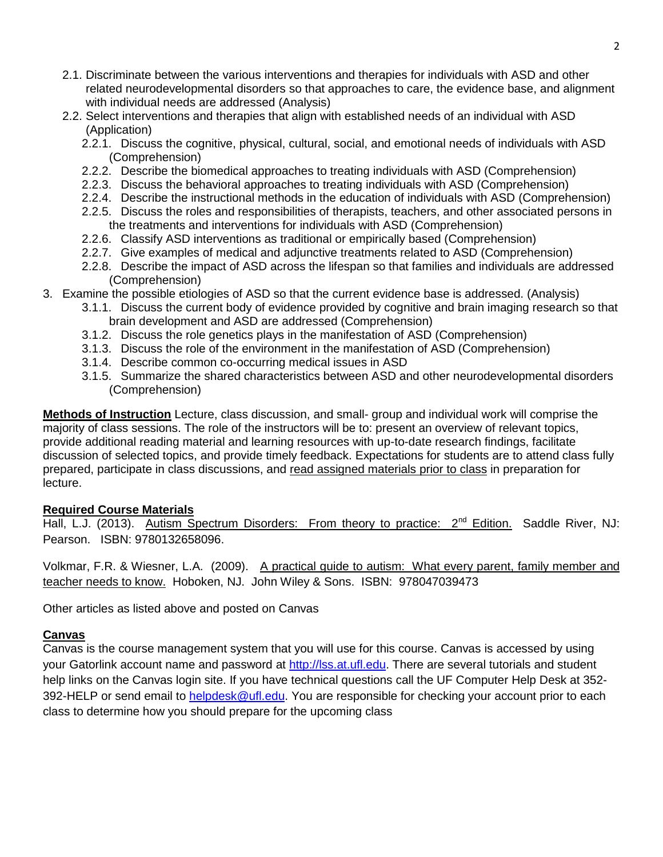- 2.1. Discriminate between the various interventions and therapies for individuals with ASD and other related neurodevelopmental disorders so that approaches to care, the evidence base, and alignment with individual needs are addressed (Analysis)
- 2.2. Select interventions and therapies that align with established needs of an individual with ASD (Application)
	- 2.2.1. Discuss the cognitive, physical, cultural, social, and emotional needs of individuals with ASD (Comprehension)
	- 2.2.2. Describe the biomedical approaches to treating individuals with ASD (Comprehension)
	- 2.2.3. Discuss the behavioral approaches to treating individuals with ASD (Comprehension)
	- 2.2.4. Describe the instructional methods in the education of individuals with ASD (Comprehension)
	- 2.2.5. Discuss the roles and responsibilities of therapists, teachers, and other associated persons in the treatments and interventions for individuals with ASD (Comprehension)
	- 2.2.6. Classify ASD interventions as traditional or empirically based (Comprehension)
	- 2.2.7. Give examples of medical and adjunctive treatments related to ASD (Comprehension)
	- 2.2.8. Describe the impact of ASD across the lifespan so that families and individuals are addressed (Comprehension)
- 3. Examine the possible etiologies of ASD so that the current evidence base is addressed. (Analysis)
	- 3.1.1. Discuss the current body of evidence provided by cognitive and brain imaging research so that brain development and ASD are addressed (Comprehension)
	- 3.1.2. Discuss the role genetics plays in the manifestation of ASD (Comprehension)
	- 3.1.3. Discuss the role of the environment in the manifestation of ASD (Comprehension)
	- 3.1.4. Describe common co-occurring medical issues in ASD
	- 3.1.5. Summarize the shared characteristics between ASD and other neurodevelopmental disorders (Comprehension)

**Methods of Instruction** Lecture, class discussion, and small- group and individual work will comprise the majority of class sessions. The role of the instructors will be to: present an overview of relevant topics, provide additional reading material and learning resources with up-to-date research findings, facilitate discussion of selected topics, and provide timely feedback. Expectations for students are to attend class fully prepared, participate in class discussions, and read assigned materials prior to class in preparation for lecture.

## **Required Course Materials**

Hall, L.J. (2013). Autism Spectrum Disorders: From theory to practice: 2<sup>nd</sup> Edition. Saddle River. NJ: Pearson. ISBN: 9780132658096.

Volkmar, F.R. & Wiesner, L.A. (2009). A practical guide to autism: What every parent, family member and teacher needs to know. Hoboken, NJ. John Wiley & Sons. ISBN: 978047039473

Other articles as listed above and posted on Canvas

## **Canvas**

Canvas is the course management system that you will use for this course. Canvas is accessed by using your Gatorlink account name and password at [http://lss.at.ufl.edu.](http://lss.at.ufl.edu/) There are several tutorials and student help links on the Canvas login site. If you have technical questions call the UF Computer Help Desk at 352 392-HELP or send email to [helpdesk@ufl.edu.](mailto:helpdesk@ufl.edu) You are responsible for checking your account prior to each class to determine how you should prepare for the upcoming class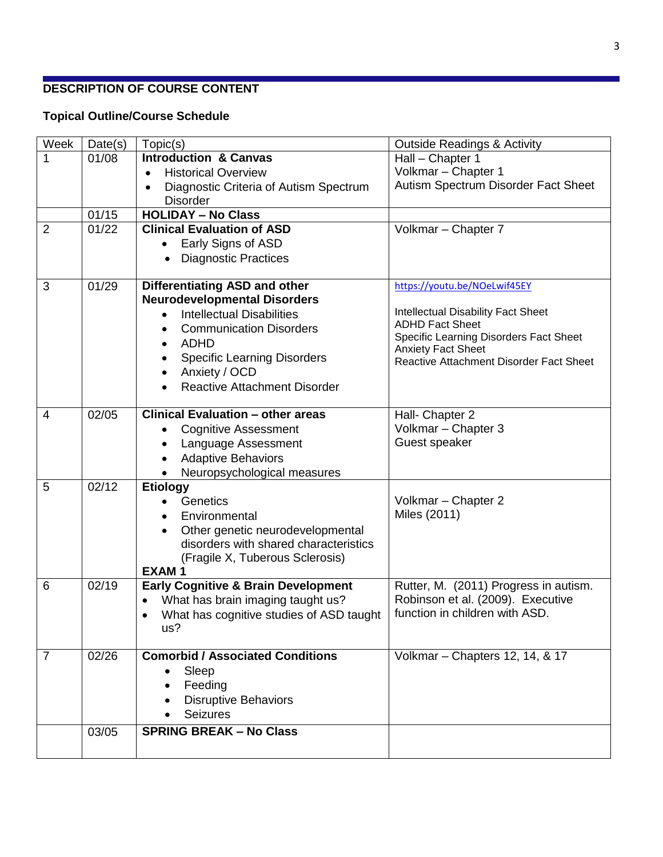# **DESCRIPTION OF COURSE CONTENT**

# **Topical Outline/Course Schedule**

| Week           | Date(s) | Topic(s)                                       | <b>Outside Readings &amp; Activity</b>                               |  |  |  |  |  |
|----------------|---------|------------------------------------------------|----------------------------------------------------------------------|--|--|--|--|--|
| 1              | 01/08   | <b>Introduction &amp; Canvas</b>               | Hall - Chapter 1                                                     |  |  |  |  |  |
|                |         | <b>Historical Overview</b><br>$\bullet$        | Volkmar - Chapter 1                                                  |  |  |  |  |  |
|                |         | Diagnostic Criteria of Autism Spectrum         | Autism Spectrum Disorder Fact Sheet                                  |  |  |  |  |  |
|                |         | <b>Disorder</b>                                |                                                                      |  |  |  |  |  |
|                | 01/15   | <b>HOLIDAY - No Class</b>                      |                                                                      |  |  |  |  |  |
| $\overline{2}$ | 01/22   | <b>Clinical Evaluation of ASD</b>              | Volkmar - Chapter 7                                                  |  |  |  |  |  |
|                |         | Early Signs of ASD                             |                                                                      |  |  |  |  |  |
|                |         | <b>Diagnostic Practices</b>                    |                                                                      |  |  |  |  |  |
| 3              | 01/29   | Differentiating ASD and other                  | https://youtu.be/NOeLwif45EY                                         |  |  |  |  |  |
|                |         | <b>Neurodevelopmental Disorders</b>            |                                                                      |  |  |  |  |  |
|                |         | <b>Intellectual Disabilities</b>               | <b>Intellectual Disability Fact Sheet</b>                            |  |  |  |  |  |
|                |         | <b>Communication Disorders</b>                 | <b>ADHD Fact Sheet</b>                                               |  |  |  |  |  |
|                |         | <b>ADHD</b>                                    | Specific Learning Disorders Fact Sheet                               |  |  |  |  |  |
|                |         | <b>Specific Learning Disorders</b>             | <b>Anxiety Fact Sheet</b><br>Reactive Attachment Disorder Fact Sheet |  |  |  |  |  |
|                |         | Anxiety / OCD                                  |                                                                      |  |  |  |  |  |
|                |         | <b>Reactive Attachment Disorder</b>            |                                                                      |  |  |  |  |  |
|                |         |                                                |                                                                      |  |  |  |  |  |
| $\overline{4}$ | 02/05   | <b>Clinical Evaluation - other areas</b>       | Hall- Chapter 2                                                      |  |  |  |  |  |
|                |         | <b>Cognitive Assessment</b>                    | Volkmar - Chapter 3                                                  |  |  |  |  |  |
|                |         | Language Assessment                            | Guest speaker                                                        |  |  |  |  |  |
|                |         | <b>Adaptive Behaviors</b>                      |                                                                      |  |  |  |  |  |
| 5              | 02/12   | Neuropsychological measures                    |                                                                      |  |  |  |  |  |
|                |         | <b>Etiology</b><br>Genetics                    | Volkmar - Chapter 2                                                  |  |  |  |  |  |
|                |         | Environmental                                  | Miles (2011)                                                         |  |  |  |  |  |
|                |         | Other genetic neurodevelopmental               |                                                                      |  |  |  |  |  |
|                |         | disorders with shared characteristics          |                                                                      |  |  |  |  |  |
|                |         | (Fragile X, Tuberous Sclerosis)                |                                                                      |  |  |  |  |  |
|                |         | <b>EXAM1</b>                                   |                                                                      |  |  |  |  |  |
| 6              | 02/19   | <b>Early Cognitive &amp; Brain Development</b> | Rutter, M. (2011) Progress in autism.                                |  |  |  |  |  |
|                |         | What has brain imaging taught us?              | Robinson et al. (2009). Executive                                    |  |  |  |  |  |
|                |         | What has cognitive studies of ASD taught       | function in children with ASD.                                       |  |  |  |  |  |
|                |         | us?                                            |                                                                      |  |  |  |  |  |
| $\overline{7}$ | 02/26   | <b>Comorbid / Associated Conditions</b>        | Volkmar - Chapters 12, 14, & 17                                      |  |  |  |  |  |
|                |         | Sleep                                          |                                                                      |  |  |  |  |  |
|                |         | Feeding                                        |                                                                      |  |  |  |  |  |
|                |         | <b>Disruptive Behaviors</b>                    |                                                                      |  |  |  |  |  |
|                |         | <b>Seizures</b>                                |                                                                      |  |  |  |  |  |
|                | 03/05   | <b>SPRING BREAK - No Class</b>                 |                                                                      |  |  |  |  |  |
|                |         |                                                |                                                                      |  |  |  |  |  |
|                |         |                                                |                                                                      |  |  |  |  |  |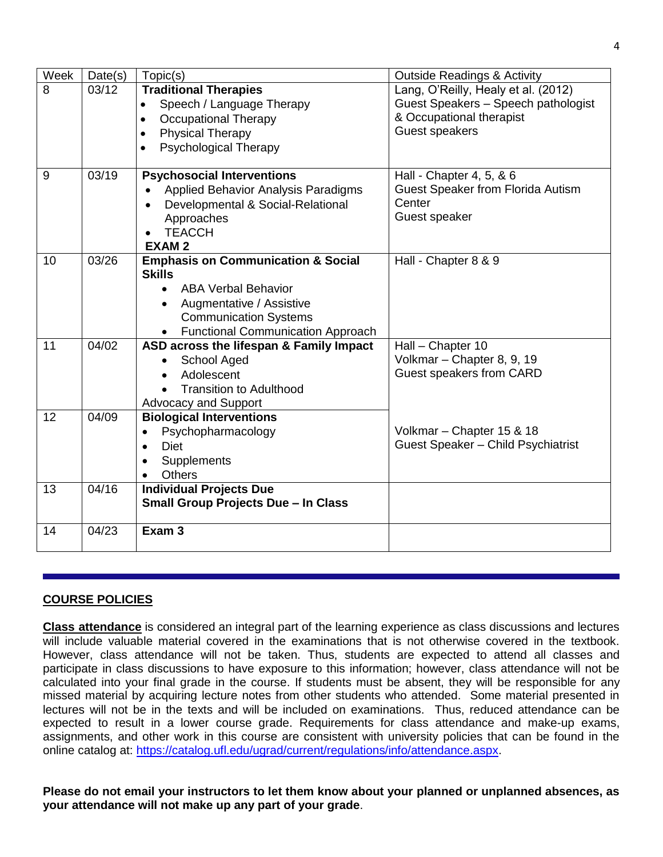| Week | Date(s) | Topic(s)                                              | <b>Outside Readings &amp; Activity</b>   |
|------|---------|-------------------------------------------------------|------------------------------------------|
| 8    | 03/12   | <b>Traditional Therapies</b>                          | Lang, O'Reilly, Healy et al. (2012)      |
|      |         | Speech / Language Therapy<br>$\bullet$                | Guest Speakers - Speech pathologist      |
|      |         | <b>Occupational Therapy</b><br>$\bullet$              | & Occupational therapist                 |
|      |         | <b>Physical Therapy</b><br>$\bullet$                  | Guest speakers                           |
|      |         | <b>Psychological Therapy</b><br>$\bullet$             |                                          |
|      |         |                                                       |                                          |
| 9    | 03/19   | <b>Psychosocial Interventions</b>                     | Hall - Chapter 4, 5, & 6                 |
|      |         | Applied Behavior Analysis Paradigms                   | <b>Guest Speaker from Florida Autism</b> |
|      |         | Developmental & Social-Relational<br>$\bullet$        | Center                                   |
|      |         | Approaches                                            | Guest speaker                            |
|      |         | <b>TEACCH</b>                                         |                                          |
|      |         | <b>EXAM2</b>                                          |                                          |
| 10   | 03/26   | <b>Emphasis on Communication &amp; Social</b>         | Hall - Chapter 8 & 9                     |
|      |         | <b>Skills</b>                                         |                                          |
|      |         | <b>ABA Verbal Behavior</b><br>$\bullet$               |                                          |
|      |         | Augmentative / Assistive<br>$\bullet$                 |                                          |
|      |         | <b>Communication Systems</b>                          |                                          |
|      |         | <b>Functional Communication Approach</b><br>$\bullet$ |                                          |
| 11   | 04/02   | ASD across the lifespan & Family Impact               | Hall - Chapter 10                        |
|      |         | School Aged                                           | Volkmar - Chapter 8, 9, 19               |
|      |         | Adolescent                                            | Guest speakers from CARD                 |
|      |         | <b>Transition to Adulthood</b>                        |                                          |
|      |         | <b>Advocacy and Support</b>                           |                                          |
| 12   | 04/09   | <b>Biological Interventions</b>                       |                                          |
|      |         | Psychopharmacology                                    | Volkmar - Chapter 15 & 18                |
|      |         | Diet<br>$\bullet$                                     | Guest Speaker - Child Psychiatrist       |
|      |         | Supplements                                           |                                          |
|      |         | Others<br>$\bullet$                                   |                                          |
| 13   | 04/16   | <b>Individual Projects Due</b>                        |                                          |
|      |         | <b>Small Group Projects Due - In Class</b>            |                                          |
|      |         |                                                       |                                          |
| 14   | 04/23   | Exam <sub>3</sub>                                     |                                          |
|      |         |                                                       |                                          |

## **COURSE POLICIES**

**Class attendance** is considered an integral part of the learning experience as class discussions and lectures will include valuable material covered in the examinations that is not otherwise covered in the textbook. However, class attendance will not be taken. Thus, students are expected to attend all classes and participate in class discussions to have exposure to this information; however, class attendance will not be calculated into your final grade in the course. If students must be absent, they will be responsible for any missed material by acquiring lecture notes from other students who attended. Some material presented in lectures will not be in the texts and will be included on examinations. Thus, reduced attendance can be expected to result in a lower course grade. Requirements for class attendance and make-up exams, assignments, and other work in this course are consistent with university policies that can be found in the online catalog at: [https://catalog.ufl.edu/ugrad/current/regulations/info/attendance.aspx.](https://catalog.ufl.edu/ugrad/current/regulations/info/attendance.aspx)

**Please do not email your instructors to let them know about your planned or unplanned absences, as your attendance will not make up any part of your grade**.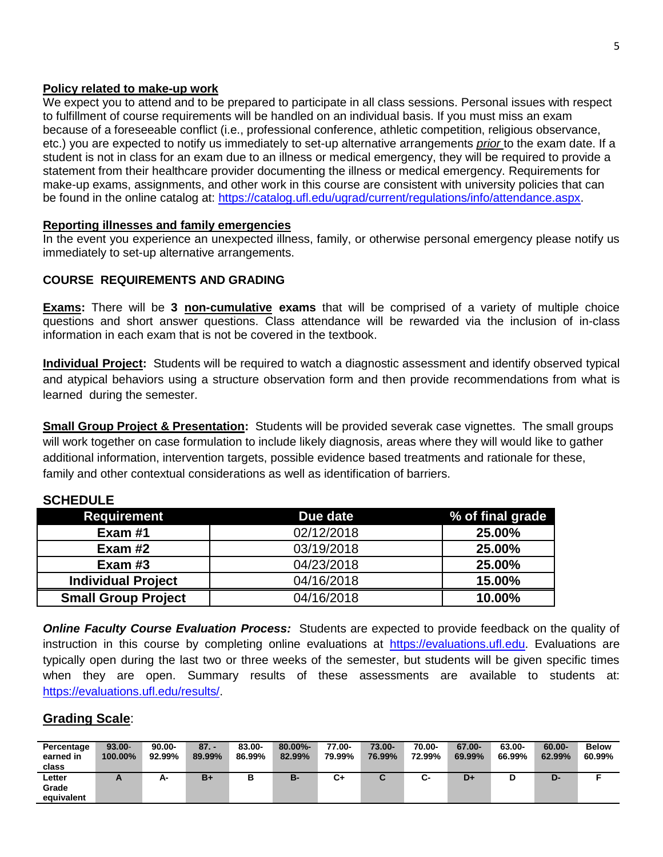## **Policy related to make-up work**

We expect you to attend and to be prepared to participate in all class sessions. Personal issues with respect to fulfillment of course requirements will be handled on an individual basis. If you must miss an exam because of a foreseeable conflict (i.e., professional conference, athletic competition, religious observance, etc.) you are expected to notify us immediately to set-up alternative arrangements *prior* to the exam date. If a student is not in class for an exam due to an illness or medical emergency, they will be required to provide a statement from their healthcare provider documenting the illness or medical emergency. Requirements for make-up exams, assignments, and other work in this course are consistent with university policies that can be found in the online catalog at: [https://catalog.ufl.edu/ugrad/current/regulations/info/attendance.aspx.](https://catalog.ufl.edu/ugrad/current/regulations/info/attendance.aspx)

### **Reporting illnesses and family emergencies**

In the event you experience an unexpected illness, family, or otherwise personal emergency please notify us immediately to set-up alternative arrangements.

## **COURSE REQUIREMENTS AND GRADING**

**Exams:** There will be **3 non-cumulative exams** that will be comprised of a variety of multiple choice questions and short answer questions. Class attendance will be rewarded via the inclusion of in-class information in each exam that is not be covered in the textbook.

**Individual Project:** Students will be required to watch a diagnostic assessment and identify observed typical and atypical behaviors using a structure observation form and then provide recommendations from what is learned during the semester.

**Small Group Project & Presentation:** Students will be provided severak case vignettes. The small groups will work together on case formulation to include likely diagnosis, areas where they will would like to gather additional information, intervention targets, possible evidence based treatments and rationale for these, family and other contextual considerations as well as identification of barriers.

| <b>Requirement</b>         | Due date   | % of final grade |
|----------------------------|------------|------------------|
| Exam $#1$                  | 02/12/2018 | 25.00%           |
| Exam $#2$                  | 03/19/2018 | 25.00%           |
| Exam $#3$                  | 04/23/2018 | 25.00%           |
| <b>Individual Project</b>  | 04/16/2018 | 15.00%           |
| <b>Small Group Project</b> | 04/16/2018 | 10.00%           |

## **SCHEDULE**

*Online Faculty Course Evaluation Process:* Students are expected to provide feedback on the quality of instruction in this course by completing online evaluations at [https://evaluations.ufl.edu.](https://evaluations.ufl.edu/) Evaluations are typically open during the last two or three weeks of the semester, but students will be given specific times when they are open. Summary results of these assessments are available to students at: [https://evaluations.ufl.edu/results/.](https://evaluations.ufl.edu/results/)

# **Grading Scale**:

| Percentage | $93.00 -$  | $90.00 -$ | $87. -$ | 83.00- | $80.00\%$ - | 77.00- | 73.00-      | 70.00- | 67.00- | 63.00- | 60.00- | <b>Below</b> |
|------------|------------|-----------|---------|--------|-------------|--------|-------------|--------|--------|--------|--------|--------------|
| earned in  | $100.00\%$ | 92.99%    | 89.99%  | 86.99% | 82.99%      | 79.99% | 76.99%      | 72.99% | 69.99% | 66.99% | 62.99% | 60.99%       |
| class      |            |           |         |        |             |        |             |        |        |        |        |              |
| Letter     | n          | А-        | $B+$    | в      | в-          | C+     | $\sim$<br>ີ | ⌒<br>ີ | D+     |        | D-     |              |
| Grade      |            |           |         |        |             |        |             |        |        |        |        |              |
| equivalent |            |           |         |        |             |        |             |        |        |        |        |              |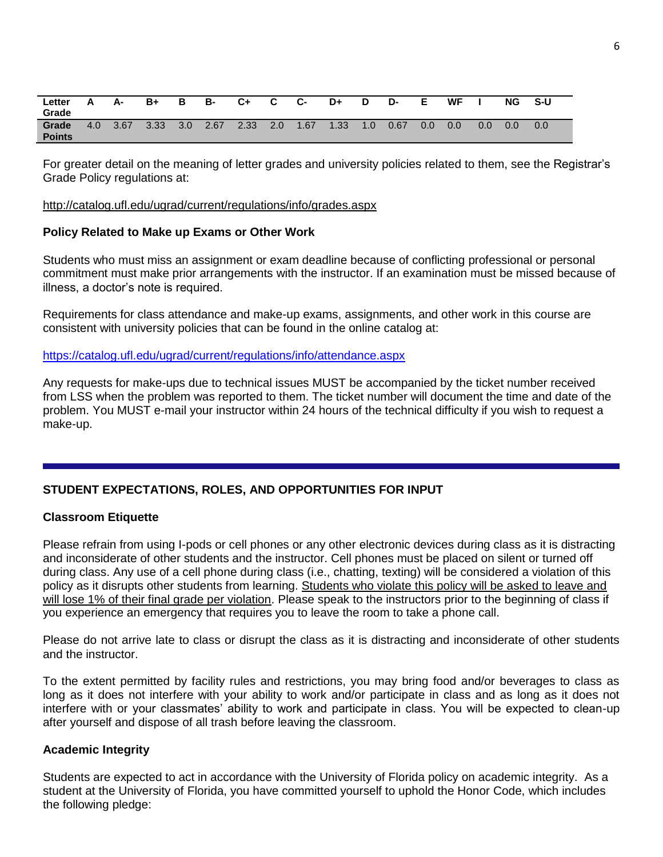| Letter<br>Grade        |     | А-   | $B+$ | в                | в-   | C+   | C.  | <b>C-</b> | D+   | D   | D-   | Е   | WF  |     | NG  | $S-U$ |
|------------------------|-----|------|------|------------------|------|------|-----|-----------|------|-----|------|-----|-----|-----|-----|-------|
| Grade<br><b>Points</b> | 4.0 | 3.67 | 3.33 | 3.0 <sub>1</sub> | 2.67 | 2.33 | 2.0 | 1.67      | 1.33 | 1.0 | 0.67 | 0.0 | 0.0 | 0.0 | 0.0 | 0.0   |

For greater detail on the meaning of letter grades and university policies related to them, see the Registrar's Grade Policy regulations at:

#### <http://catalog.ufl.edu/ugrad/current/regulations/info/grades.aspx>

#### **Policy Related to Make up Exams or Other Work**

Students who must miss an assignment or exam deadline because of conflicting professional or personal commitment must make prior arrangements with the instructor. If an examination must be missed because of illness, a doctor's note is required.

Requirements for class attendance and make-up exams, assignments, and other work in this course are consistent with university policies that can be found in the online catalog at:

<https://catalog.ufl.edu/ugrad/current/regulations/info/attendance.aspx>

Any requests for make-ups due to technical issues MUST be accompanied by the ticket number received from LSS when the problem was reported to them. The ticket number will document the time and date of the problem. You MUST e-mail your instructor within 24 hours of the technical difficulty if you wish to request a make-up.

#### **STUDENT EXPECTATIONS, ROLES, AND OPPORTUNITIES FOR INPUT**

#### **Classroom Etiquette**

Please refrain from using I-pods or cell phones or any other electronic devices during class as it is distracting and inconsiderate of other students and the instructor. Cell phones must be placed on silent or turned off during class. Any use of a cell phone during class (i.e., chatting, texting) will be considered a violation of this policy as it disrupts other students from learning. Students who violate this policy will be asked to leave and will lose 1% of their final grade per violation. Please speak to the instructors prior to the beginning of class if you experience an emergency that requires you to leave the room to take a phone call.

Please do not arrive late to class or disrupt the class as it is distracting and inconsiderate of other students and the instructor.

To the extent permitted by facility rules and restrictions, you may bring food and/or beverages to class as long as it does not interfere with your ability to work and/or participate in class and as long as it does not interfere with or your classmates' ability to work and participate in class. You will be expected to clean-up after yourself and dispose of all trash before leaving the classroom.

#### **Academic Integrity**

Students are expected to act in accordance with the University of Florida policy on academic integrity. As a student at the University of Florida, you have committed yourself to uphold the Honor Code, which includes the following pledge: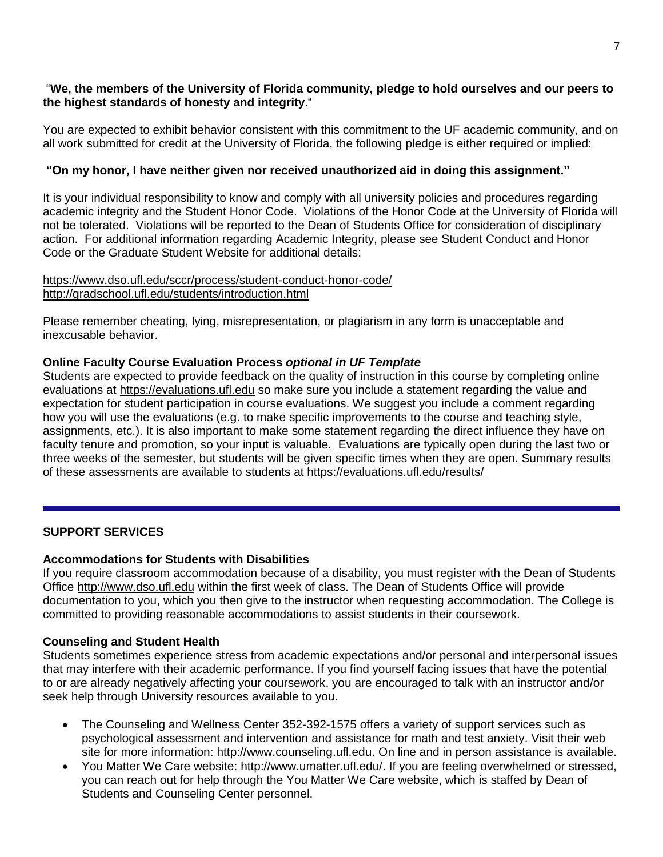## "**We, the members of the University of Florida community, pledge to hold ourselves and our peers to the highest standards of honesty and integrity**."

You are expected to exhibit behavior consistent with this commitment to the UF academic community, and on all work submitted for credit at the University of Florida, the following pledge is either required or implied:

## **"On my honor, I have neither given nor received unauthorized aid in doing this assignment."**

It is your individual responsibility to know and comply with all university policies and procedures regarding academic integrity and the Student Honor Code. Violations of the Honor Code at the University of Florida will not be tolerated. Violations will be reported to the Dean of Students Office for consideration of disciplinary action. For additional information regarding Academic Integrity, please see Student Conduct and Honor Code or the Graduate Student Website for additional details:

#### <https://www.dso.ufl.edu/sccr/process/student-conduct-honor-code/> <http://gradschool.ufl.edu/students/introduction.html>

Please remember cheating, lying, misrepresentation, or plagiarism in any form is unacceptable and inexcusable behavior.

## **Online Faculty Course Evaluation Process** *optional in UF Template*

Students are expected to provide feedback on the quality of instruction in this course by completing online evaluations at [https://evaluations.ufl.edu](https://evaluations.ufl.edu/) so make sure you include a statement regarding the value and expectation for student participation in course evaluations. We suggest you include a comment regarding how you will use the evaluations (e.g. to make specific improvements to the course and teaching style, assignments, etc.). It is also important to make some statement regarding the direct influence they have on faculty tenure and promotion, so your input is valuable. Evaluations are typically open during the last two or three weeks of the semester, but students will be given specific times when they are open. Summary results of these assessments are available to students at [https://evaluations.ufl.edu/results/](https://evaluations.ufl.edu/results/ )

## **SUPPORT SERVICES**

## **Accommodations for Students with Disabilities**

If you require classroom accommodation because of a disability, you must register with the Dean of Students Office [http://www.dso.ufl.edu](http://www.dso.ufl.edu/) within the first week of class. The Dean of Students Office will provide documentation to you, which you then give to the instructor when requesting accommodation. The College is committed to providing reasonable accommodations to assist students in their coursework.

## **Counseling and Student Health**

Students sometimes experience stress from academic expectations and/or personal and interpersonal issues that may interfere with their academic performance. If you find yourself facing issues that have the potential to or are already negatively affecting your coursework, you are encouraged to talk with an instructor and/or seek help through University resources available to you.

- The Counseling and Wellness Center 352-392-1575 offers a variety of support services such as psychological assessment and intervention and assistance for math and test anxiety. Visit their web site for more information: [http://www.counseling.ufl.edu.](http://www.counseling.ufl.edu/) On line and in person assistance is available.
- You Matter We Care website: [http://www.umatter.ufl.edu/.](http://www.umatter.ufl.edu/) If you are feeling overwhelmed or stressed, you can reach out for help through the You Matter We Care website, which is staffed by Dean of Students and Counseling Center personnel.